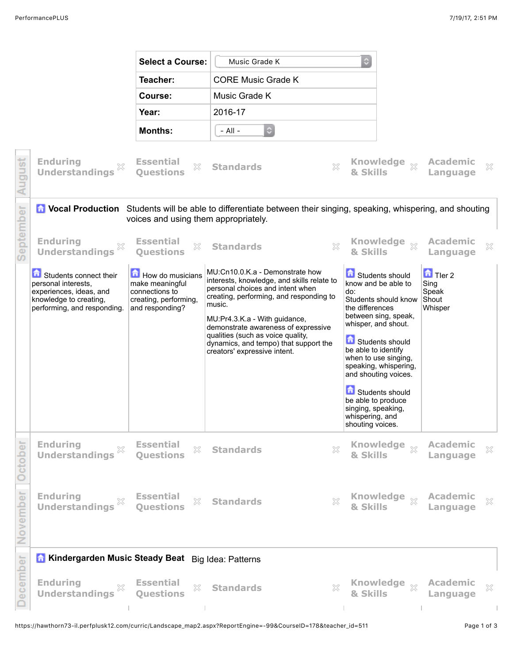|           |                                                                                                                                                                    | <b>Select a Course:</b>                                                                           | Music Grade K                                                                                                                                                                                                                                                                                                                                                | ٥                                                                                                                                |                                                                                                                                                                                                                              |                                                    |   |  |
|-----------|--------------------------------------------------------------------------------------------------------------------------------------------------------------------|---------------------------------------------------------------------------------------------------|--------------------------------------------------------------------------------------------------------------------------------------------------------------------------------------------------------------------------------------------------------------------------------------------------------------------------------------------------------------|----------------------------------------------------------------------------------------------------------------------------------|------------------------------------------------------------------------------------------------------------------------------------------------------------------------------------------------------------------------------|----------------------------------------------------|---|--|
|           |                                                                                                                                                                    | Teacher:                                                                                          | <b>CORE Music Grade K</b>                                                                                                                                                                                                                                                                                                                                    |                                                                                                                                  |                                                                                                                                                                                                                              |                                                    |   |  |
|           |                                                                                                                                                                    | Course:                                                                                           | Music Grade K                                                                                                                                                                                                                                                                                                                                                |                                                                                                                                  |                                                                                                                                                                                                                              |                                                    |   |  |
|           |                                                                                                                                                                    | Year:                                                                                             | 2016-17                                                                                                                                                                                                                                                                                                                                                      |                                                                                                                                  |                                                                                                                                                                                                                              |                                                    |   |  |
|           |                                                                                                                                                                    | <b>Months:</b>                                                                                    | $\circ$<br>- All -                                                                                                                                                                                                                                                                                                                                           |                                                                                                                                  |                                                                                                                                                                                                                              |                                                    |   |  |
| August    | <b>Enduring</b><br><b>Understandings</b>                                                                                                                           | <b>Essential</b><br>$\gtrsim$<br><b>Ouestions</b>                                                 | $\gtrsim$<br><b>Standards</b>                                                                                                                                                                                                                                                                                                                                | & Skills                                                                                                                         | Knowledge xx                                                                                                                                                                                                                 | <b>Academic</b><br>Language                        | × |  |
|           | <b>C</b> Vocal Production Students will be able to differentiate between their singing, speaking, whispering, and shouting<br>voices and using them appropriately. |                                                                                                   |                                                                                                                                                                                                                                                                                                                                                              |                                                                                                                                  |                                                                                                                                                                                                                              |                                                    |   |  |
| September | <b>Enduring</b><br><b>Understandings</b>                                                                                                                           | <b>Essential</b><br>$\gtrsim$<br><b>Ouestions</b>                                                 | X<br><b>Standards</b>                                                                                                                                                                                                                                                                                                                                        | & Skills                                                                                                                         | Knowledge <sub>※</sub>                                                                                                                                                                                                       | <b>Academic</b><br>Language                        | × |  |
|           | Students connect their<br>personal interests.<br>experiences, ideas, and<br>knowledge to creating,<br>performing, and responding.                                  | How do musicians<br>make meaningful<br>connections to<br>creating, performing,<br>and responding? | MU:Cn10.0.K.a - Demonstrate how<br>interests, knowledge, and skills relate to<br>personal choices and intent when<br>creating, performing, and responding to<br>music.<br>MU:Pr4.3.K.a - With guidance,<br>demonstrate awareness of expressive<br>qualities (such as voice quality,<br>dynamics, and tempo) that support the<br>creators' expressive intent. | do:<br>the differences<br>be able to identify<br>be able to produce<br>singing, speaking,<br>whispering, and<br>shouting voices. | Students should<br>know and be able to<br>Students should know<br>between sing, speak,<br>whisper, and shout.<br>Students should<br>when to use singing,<br>speaking, whispering,<br>and shouting voices.<br>Students should | $\Box$ Tler 2<br>Sing<br>Speak<br>Shout<br>Whisper |   |  |
| October   | <b>Enduring</b><br>X<br><b>Understandings</b>                                                                                                                      | <b>Essential</b><br>×<br><b>Questions</b>                                                         | $\mathbb{X}$<br><b>Standards</b>                                                                                                                                                                                                                                                                                                                             | & Skills                                                                                                                         | Knowledge xx                                                                                                                                                                                                                 | <b>Academic</b><br>Language                        | × |  |
| November  | <b>Enduring</b><br><b>Understandings</b>                                                                                                                           | <b>Essential</b><br>X<br><b>Questions</b>                                                         | X<br><b>Standards</b>                                                                                                                                                                                                                                                                                                                                        | & Skills                                                                                                                         | Knowledge xx                                                                                                                                                                                                                 | <b>Academic</b><br>Language                        | × |  |
|           | Kindergarden Music Steady Beat Big Idea: Patterns                                                                                                                  |                                                                                                   |                                                                                                                                                                                                                                                                                                                                                              |                                                                                                                                  |                                                                                                                                                                                                                              |                                                    |   |  |
| December  | <b>Enduring</b><br>X<br><b>Understandings</b>                                                                                                                      | <b>Essential</b><br>$\gtrsim$<br><b>Questions</b>                                                 | X<br><b>Standards</b>                                                                                                                                                                                                                                                                                                                                        | & Skills                                                                                                                         | Knowledge xx                                                                                                                                                                                                                 | <b>Academic</b><br>Language                        | × |  |